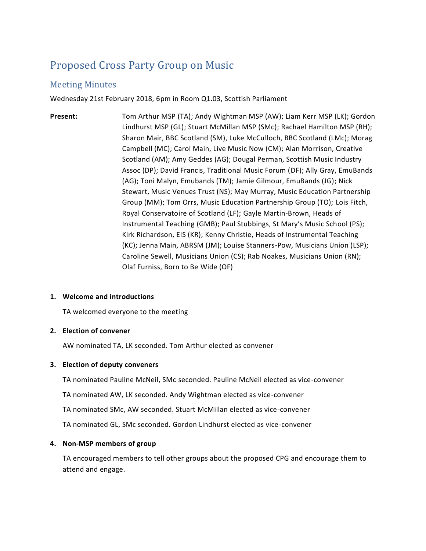## Meeting Minutes

Wednesday 21st February 2018, 6pm in Room Q1.03, Scottish Parliament

**Present:** Tom Arthur MSP (TA); Andy Wightman MSP (AW); Liam Kerr MSP (LK); Gordon Lindhurst MSP (GL); Stuart McMillan MSP (SMc); Rachael Hamilton MSP (RH); Sharon Mair, BBC Scotland (SM), Luke McCulloch, BBC Scotland (LMc); Morag Campbell (MC); Carol Main, Live Music Now (CM); Alan Morrison, Creative Scotland (AM); Amy Geddes (AG); Dougal Perman, Scottish Music Industry Assoc (DP); David Francis, Traditional Music Forum (DF); Ally Gray, EmuBands (AG); Toni Malyn, Emubands (TM); Jamie Gilmour, EmuBands (JG); Nick Stewart, Music Venues Trust (NS); May Murray, Music Education Partnership Group (MM); Tom Orrs, Music Education Partnership Group (TO); Lois Fitch, Royal Conservatoire of Scotland (LF); Gayle Martin-Brown, Heads of Instrumental Teaching (GMB); Paul Stubbings, St Mary's Music School (PS); Kirk Richardson, EIS (KR); Kenny Christie, Heads of Instrumental Teaching (KC); Jenna Main, ABRSM (JM); Louise Stanners-Pow, Musicians Union (LSP); Caroline Sewell, Musicians Union (CS); Rab Noakes, Musicians Union (RN); Olaf Furniss, Born to Be Wide (OF)

## **1. Welcome and introductions**

TA welcomed everyone to the meeting

#### **2. Election of convener**

AW nominated TA, LK seconded. Tom Arthur elected as convener

#### **3. Election of deputy conveners**

TA nominated Pauline McNeil, SMc seconded. Pauline McNeil elected as vice-convener

TA nominated AW, LK seconded. Andy Wightman elected as vice-convener

TA nominated SMc, AW seconded. Stuart McMillan elected as vice-convener

TA nominated GL, SMc seconded. Gordon Lindhurst elected as vice-convener

## **4. Non-MSP members of group**

TA encouraged members to tell other groups about the proposed CPG and encourage them to attend and engage.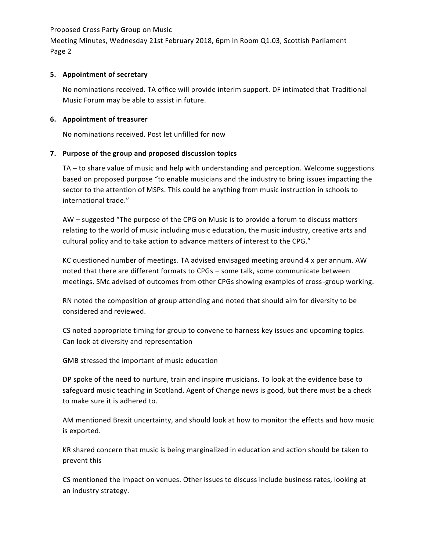Meeting Minutes, Wednesday 21st February 2018, 6pm in Room Q1.03, Scottish Parliament Page 2

## **5. Appointment of secretary**

No nominations received. TA office will provide interim support. DF intimated that Traditional Music Forum may be able to assist in future.

## **6. Appointment of treasurer**

No nominations received. Post let unfilled for now

## **7. Purpose of the group and proposed discussion topics**

TA – to share value of music and help with understanding and perception. Welcome suggestions based on proposed purpose "to enable musicians and the industry to bring issues impacting the sector to the attention of MSPs. This could be anything from music instruction in schools to international trade."

AW – suggested "The purpose of the CPG on Music is to provide a forum to discuss matters relating to the world of music including music education, the music industry, creative arts and cultural policy and to take action to advance matters of interest to the CPG."

KC questioned number of meetings. TA advised envisaged meeting around 4 x per annum. AW noted that there are different formats to CPGs – some talk, some communicate between meetings. SMc advised of outcomes from other CPGs showing examples of cross-group working.

RN noted the composition of group attending and noted that should aim for diversity to be considered and reviewed.

CS noted appropriate timing for group to convene to harness key issues and upcoming topics. Can look at diversity and representation

GMB stressed the important of music education

DP spoke of the need to nurture, train and inspire musicians. To look at the evidence base to safeguard music teaching in Scotland. Agent of Change news is good, but there must be a check to make sure it is adhered to.

AM mentioned Brexit uncertainty, and should look at how to monitor the effects and how music is exported.

KR shared concern that music is being marginalized in education and action should be taken to prevent this

CS mentioned the impact on venues. Other issues to discuss include business rates, looking at an industry strategy.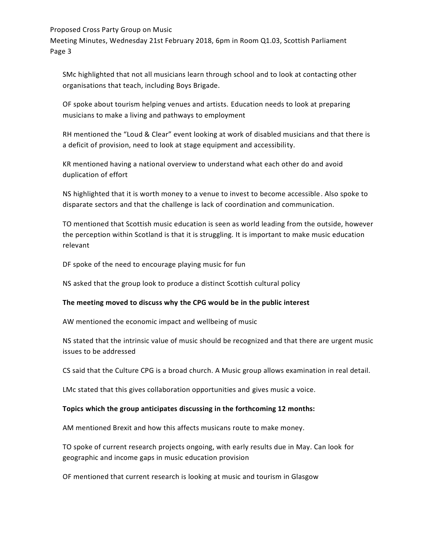Meeting Minutes, Wednesday 21st February 2018, 6pm in Room Q1.03, Scottish Parliament Page 3

SMc highlighted that not all musicians learn through school and to look at contacting other organisations that teach, including Boys Brigade.

OF spoke about tourism helping venues and artists. Education needs to look at preparing musicians to make a living and pathways to employment

RH mentioned the "Loud & Clear" event looking at work of disabled musicians and that there is a deficit of provision, need to look at stage equipment and accessibility.

KR mentioned having a national overview to understand what each other do and avoid duplication of effort

NS highlighted that it is worth money to a venue to invest to become accessible. Also spoke to disparate sectors and that the challenge is lack of coordination and communication.

TO mentioned that Scottish music education is seen as world leading from the outside, however the perception within Scotland is that it is struggling. It is important to make music education relevant

DF spoke of the need to encourage playing music for fun

NS asked that the group look to produce a distinct Scottish cultural policy

## **The meeting moved to discuss why the CPG would be in the public interest**

AW mentioned the economic impact and wellbeing of music

NS stated that the intrinsic value of music should be recognized and that there are urgent music issues to be addressed

CS said that the Culture CPG is a broad church. A Music group allows examination in real detail.

LMc stated that this gives collaboration opportunities and gives music a voice.

## **Topics which the group anticipates discussing in the forthcoming 12 months:**

AM mentioned Brexit and how this affects musicans route to make money.

TO spoke of current research projects ongoing, with early results due in May. Can look for geographic and income gaps in music education provision

OF mentioned that current research is looking at music and tourism in Glasgow